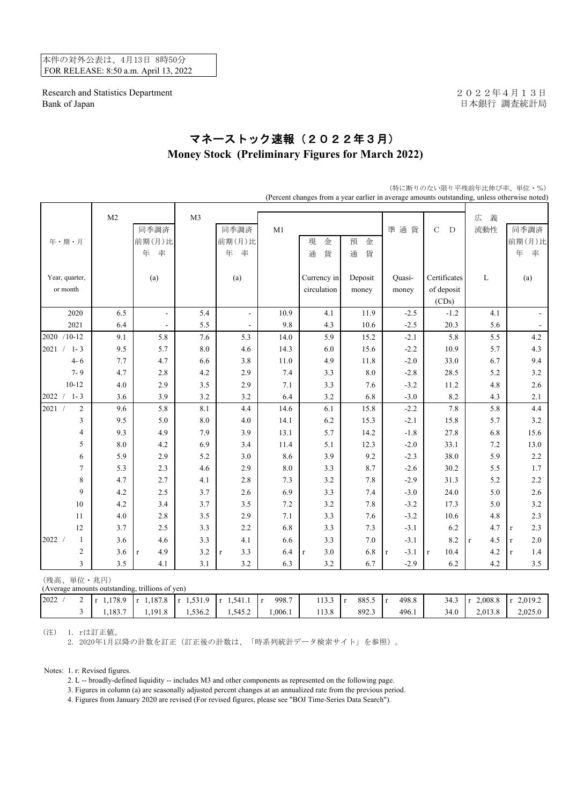本件の対外公表は、4月13日 8時50分 FOR RELEASE: 8:50 a.m. April 13, 2022

Research and Statistics Department 2022年4月13日 Bank of Japan <br>
日本銀行 調査統計局

## マネーストック速報(2022年3月) **Money Stock (Preliminary Figures for March 2022)**

|                                                               | (Percent changes from a year earlier in average amounts outstanding, unless otherwise noted) |                     |                        |                          |              |                    |              |                      |                     |                     |                    |
|---------------------------------------------------------------|----------------------------------------------------------------------------------------------|---------------------|------------------------|--------------------------|--------------|--------------------|--------------|----------------------|---------------------|---------------------|--------------------|
|                                                               | M <sub>2</sub><br>同季調済                                                                       |                     | M <sub>3</sub><br>同季調済 |                          |              |                    |              |                      | $\mathbf C$<br>D    | 広<br>義<br>流動性       | 同季調済               |
|                                                               |                                                                                              |                     |                        |                          | M1           |                    |              | 準通貨                  |                     |                     |                    |
| 年・期・月                                                         |                                                                                              | 前期(月)比              |                        | 前期(月)比                   |              | 現<br>金             | 預<br>金       |                      |                     |                     | 前期(月)比             |
|                                                               |                                                                                              | 率<br>年              |                        | 年<br>率                   |              | 貨<br>通             | 通<br>貨       |                      |                     |                     | 年<br>率             |
| Year, quarter,                                                |                                                                                              | (a)                 |                        | (a)                      |              | Currency in        | Deposit      | Quasi-               | Certificates        | L                   | (a)                |
| or month                                                      |                                                                                              |                     |                        |                          |              | circulation        | money        | money                | of deposit          |                     |                    |
|                                                               |                                                                                              |                     |                        |                          |              |                    |              |                      | (CDs)               |                     |                    |
| 2020                                                          | 6.5                                                                                          | $\blacksquare$      | 5.4                    | $\overline{\phantom{a}}$ | 10.9         | 4.1                | 11.9         | $-2.5$               | $-1.2$              | 4.1                 |                    |
| 2021                                                          | 6.4                                                                                          | $\blacksquare$      | 5.5                    |                          | 9.8          | 4.3                | 10.6         | $-2.5$               | 20.3                | 5.6                 | $\blacksquare$     |
| 2020 /10-12                                                   | 9.1                                                                                          | 5.8                 | 7.6                    | 5.3                      | 14.0         | 5.9                | 15.2         | $-2.1$               | 5.8                 | 5.5                 | 4.2                |
| 2021 /<br>$1 - 3$                                             | 9.5                                                                                          | 5.7                 | $8.0\,$                | 4.6                      | 14.3         | 6.0                | 15.6         | $-2.2$               | 10.9                | 5.7                 | 4.3                |
| $4 - 6$                                                       | 7.7                                                                                          | 4.7                 | 6.6                    | 3.8                      | 11.0         | 4.9                | 11.8         | $-2.0$               | 33.0                | 6.7                 | 9.4                |
| $7 - 9$                                                       | 4.7                                                                                          | 2.8                 | 4.2                    | 2.9                      | 7.4          | 3.3                | $8.0\,$      | $-2.8$               | 28.5                | 5.2                 | 3.2                |
| $10 - 12$                                                     | 4.0                                                                                          | 2.9                 | 3.5                    | 2.9                      | 7.1          | 3.3                | 7.6          | $-3.2$               | 11.2                | 4.8                 | 2.6                |
| $2022 / 1 - 3$                                                | 3.6                                                                                          | 3.9                 | 3.2                    | 3.2                      | 6.4          | 3.2                | 6.8          | $-3.0$               | 8.2                 | 4.3                 | 2.1                |
| 2021 /<br>$\overline{c}$                                      | 9.6                                                                                          | 5.8                 | 8.1                    | 4.4                      | 14.6         | 6.1                | 15.8         | $-2.2$               | 7.8                 | 5.8                 | 4.4                |
| 3                                                             | 9.5                                                                                          | 5.0                 | 8.0                    | 4.0                      | 14.1         | 6.2                | 15.3         | $-2.1$               | 15.8                | 5.7                 | 3.2                |
| $\overline{\mathcal{L}}$                                      | 9.3                                                                                          | 4.9                 | 7.9                    | 3.9                      | 13.1         | 5.7                | 14.2         | $-1.8$               | 27.8                | 6.8                 | 15.6               |
| 5                                                             | 8.0                                                                                          | 4.2                 | 6.9                    | 3.4                      | 11.4         | 5.1                | 12.3         | $-2.0$               | 33.1                | 7.2                 | 13.0               |
| 6                                                             | 5.9                                                                                          | 2.9                 | 5.2                    | 3.0                      | 8.6          | 3.9                | 9.2          | $-2.3$               | 38.0                | 5.9                 | 2.2                |
| $\overline{7}$                                                | 5.3                                                                                          | 2.3                 | 4.6                    | 2.9                      | $\ \, 8.0$   | 3.3                | 8.7          | $-2.6$               | 30.2                | 5.5                 | 1.7                |
| 8                                                             | 4.7                                                                                          | 2.7                 | 4.1                    | 2.8                      | 7.3          | 3.2                | 7.8          | $-2.9$               | 31.3                | 5.2                 | 2.2                |
| 9                                                             | 4.2                                                                                          | 2.5                 | 3.7                    | 2.6                      | 6.9          | 3.3                | 7.4          | $-3.0$               | 24.0                | 5.0                 | 2.6                |
| $10\,$                                                        | 4.2                                                                                          | 3.4                 | 3.7                    | $3.5$                    | 7.2          | $3.2\,$            | 7.8          | $-3.2$               | 17.3                | 5.0                 | 3.2                |
| 11                                                            | 4.0                                                                                          | 2.8                 | 3.5                    | 2.9                      | 7.1          | 3.3                | 7.6          | $-3.2$               | 10.6                | 4.8                 | 2.3                |
| 12                                                            | 3.7                                                                                          | 2.5                 | 3.3                    | 2.2                      | 6.8          | 3.3                | 7.3          | $-3.1$               | 6.2                 | 4.7                 | 2.3<br>$\bf r$     |
| 2022 /<br>1                                                   | 3.6                                                                                          | 4.6                 | 3.3                    | 4.1                      | 6.6          | 3.3                | $7.0\,$      | $-3.1$               | 8.2                 | 4.5<br>$\mathbf{r}$ | 2.0<br>$\mathbf r$ |
| $\overline{c}$                                                | 3.6                                                                                          | 4.9<br>$\mathbf{r}$ | 3.2                    | 3.3<br>$\mathbf{r}$      | 6.4          | 3.0<br>$\mathbf r$ | 6.8          | $-3.1$<br>$\bf r$    | 10.4<br>$\mathbf r$ | 4.2                 | 1.4<br>$\mathbf r$ |
| $\overline{3}$                                                | 3.5                                                                                          | 4.1                 | 3.1                    | 3.2                      | 6.3          | 3.2                | 6.7          | $-2.9$               | 6.2                 | 4.2                 | 3.5                |
| (残高、単位·兆円)<br>(Average amounts outstanding, trillions of yen) |                                                                                              |                     |                        |                          |              |                    |              |                      |                     |                     |                    |
| 2022 /<br>$\overline{2}$                                      | $r$ 1,178.9                                                                                  | $r$ 1,187.8         | $r$ 1,531.9            | $r$ 1,541.1              | 998.7<br>l r | 113.3              | 885.5<br>l r | 498.8<br>$\mathbf r$ | 34.3                | $r$ 2,008.8         | $r$ 2,019.2        |

3 1,183.7 1,191.8 1,536.2 1,545.2 1,006.1 113.8 892.3 496.1 34.0 2,013.8 2,025.0

(特に断りのない限り平残前年比伸び率、単位・%)

(注) 1. rは訂正値。

2. 2020年1月以降の計数を訂正(訂正後の計数は、「時系列統計データ検索サイト」を参照)。

Notes: 1. r: Revised figures.

2. L -- broadly-defined liquidity -- includes M3 and other components as represented on the following page.

3. Figures in column (a) are seasonally adjusted percent changes at an annualized rate from the previous period.

4. Figures from January 2020 are revised (For revised figures, please see "BOJ Time-Series Data Search").